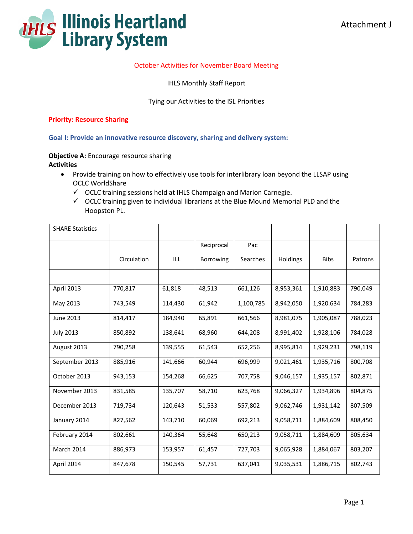

## October Activities for November Board Meeting

IHLS Monthly Staff Report

Tying our Activities to the ISL Priorities

#### **Priority: Resource Sharing**

**Goal I: Provide an innovative resource discovery, sharing and delivery system:** 

**Objective A:** Encourage resource sharing **Activities**

- Provide training on how to effectively use tools for interlibrary loan beyond the LLSAP using OCLC WorldShare
	- $\checkmark$  OCLC training sessions held at IHLS Champaign and Marion Carnegie.
	- $\checkmark$  OCLC training given to individual librarians at the Blue Mound Memorial PLD and the Hoopston PL.

| <b>SHARE Statistics</b> |             |         |            |           |           |             |         |
|-------------------------|-------------|---------|------------|-----------|-----------|-------------|---------|
|                         |             |         | Reciprocal | Pac       |           |             |         |
|                         | Circulation | ILL     | Borrowing  | Searches  | Holdings  | <b>Bibs</b> | Patrons |
|                         |             |         |            |           |           |             |         |
| April 2013              | 770,817     | 61,818  | 48,513     | 661,126   | 8,953,361 | 1,910,883   | 790,049 |
| May 2013                | 743,549     | 114,430 | 61,942     | 1,100,785 | 8,942,050 | 1,920.634   | 784,283 |
| June 2013               | 814,417     | 184,940 | 65,891     | 661,566   | 8,981,075 | 1,905,087   | 788,023 |
| <b>July 2013</b>        | 850,892     | 138,641 | 68,960     | 644,208   | 8,991,402 | 1,928,106   | 784,028 |
| August 2013             | 790,258     | 139,555 | 61,543     | 652,256   | 8,995,814 | 1,929,231   | 798,119 |
| September 2013          | 885,916     | 141,666 | 60,944     | 696,999   | 9,021,461 | 1,935,716   | 800,708 |
| October 2013            | 943,153     | 154,268 | 66,625     | 707,758   | 9,046,157 | 1,935,157   | 802,871 |
| November 2013           | 831,585     | 135,707 | 58,710     | 623,768   | 9,066,327 | 1,934,896   | 804,875 |
| December 2013           | 719,734     | 120,643 | 51,533     | 557,802   | 9,062,746 | 1,931,142   | 807,509 |
| January 2014            | 827,562     | 143,710 | 60,069     | 692,213   | 9,058,711 | 1,884,609   | 808,450 |
| February 2014           | 802,661     | 140,364 | 55,648     | 650,213   | 9,058,711 | 1,884,609   | 805,634 |
| March 2014              | 886,973     | 153,957 | 61,457     | 727,703   | 9,065,928 | 1,884,067   | 803,207 |
| April 2014              | 847,678     | 150,545 | 57,731     | 637,041   | 9,035,531 | 1,886,715   | 802,743 |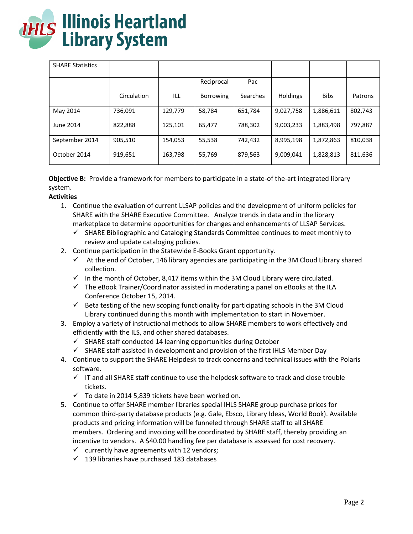

| <b>SHARE Statistics</b> |             |         |            |          |                 |             |         |
|-------------------------|-------------|---------|------------|----------|-----------------|-------------|---------|
|                         |             |         | Reciprocal | Pac      |                 |             |         |
|                         | Circulation | ILL     | Borrowing  | Searches | <b>Holdings</b> | <b>Bibs</b> | Patrons |
| May 2014                | 736,091     | 129,779 | 58,784     | 651,784  | 9,027,758       | 1,886,611   | 802,743 |
| June 2014               | 822,888     | 125,101 | 65,477     | 788,302  | 9,003,233       | 1,883,498   | 797,887 |
| September 2014          | 905,510     | 154,053 | 55,538     | 742,432  | 8,995,198       | 1,872,863   | 810,038 |
| October 2014            | 919,651     | 163,798 | 55,769     | 879,563  | 9,009,041       | 1,828,813   | 811,636 |

**Objective B:** Provide a framework for members to participate in a state-of the-art integrated library system.

## **Activities**

- 1. Continue the evaluation of current LLSAP policies and the development of uniform policies for SHARE with the SHARE Executive Committee. Analyze trends in data and in the library marketplace to determine opportunities for changes and enhancements of LLSAP Services.
	- $\checkmark$  SHARE Bibliographic and Cataloging Standards Committee continues to meet monthly to review and update cataloging policies.
- 2. Continue participation in the Statewide E-Books Grant opportunity.
	- $\checkmark$  At the end of October, 146 library agencies are participating in the 3M Cloud Library shared collection.
	- $\checkmark$  In the month of October, 8,417 items within the 3M Cloud Library were circulated.
	- $\checkmark$  The eBook Trainer/Coordinator assisted in moderating a panel on eBooks at the ILA Conference October 15, 2014.
	- $\checkmark$  Beta testing of the new scoping functionality for participating schools in the 3M Cloud Library continued during this month with implementation to start in November.
- 3. Employ a variety of instructional methods to allow SHARE members to work effectively and efficiently with the ILS, and other shared databases.
	- $\checkmark$  SHARE staff conducted 14 learning opportunities during October
	- $\checkmark$  SHARE staff assisted in development and provision of the first IHLS Member Day
- 4. Continue to support the SHARE Helpdesk to track concerns and technical issues with the Polaris software.
	- $\checkmark$  IT and all SHARE staff continue to use the helpdesk software to track and close trouble tickets.
	- $\checkmark$  To date in 2014 5,839 tickets have been worked on.
- 5. Continue to offer SHARE member libraries special IHLS SHARE group purchase prices for common third-party database products (e.g. Gale, Ebsco, Library Ideas, World Book). Available products and pricing information will be funneled through SHARE staff to all SHARE members. Ordering and invoicing will be coordinated by SHARE staff, thereby providing an incentive to vendors. A \$40.00 handling fee per database is assessed for cost recovery.
	- $\checkmark$  currently have agreements with 12 vendors;
	- $\checkmark$  139 libraries have purchased 183 databases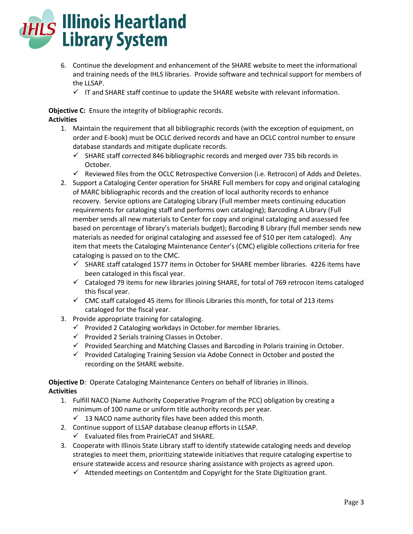

- 6. Continue the development and enhancement of the SHARE website to meet the informational and training needs of the IHLS libraries. Provide software and technical support for members of the LLSAP.
	- $\checkmark$  IT and SHARE staff continue to update the SHARE website with relevant information.

**Objective C:** Ensure the integrity of bibliographic records. **Activities**

- 1. Maintain the requirement that all bibliographic records (with the exception of equipment, on order and E-book) must be OCLC derived records and have an OCLC control number to ensure database standards and mitigate duplicate records.
	- $\checkmark$  SHARE staff corrected 846 bibliographic records and merged over 735 bib records in October.
	- $\checkmark$  Reviewed files from the OCLC Retrospective Conversion (i.e. Retrocon) of Adds and Deletes.
- 2. Support a Cataloging Center operation for SHARE Full members for copy and original cataloging of MARC bibliographic records and the creation of local authority records to enhance recovery. Service options are Cataloging Library (Full member meets continuing education requirements for cataloging staff and performs own cataloging); Barcoding A Library (Full member sends all new materials to Center for copy and original cataloging and assessed fee based on percentage of library's materials budget); Barcoding B Library (full member sends new materials as needed for original cataloging and assessed fee of \$10 per item cataloged). Any item that meets the Cataloging Maintenance Center's (CMC) eligible collections criteria for free cataloging is passed on to the CMC.
	- $\checkmark$  SHARE staff cataloged 1577 items in October for SHARE member libraries. 4226 items have been cataloged in this fiscal year.
	- $\checkmark$  Cataloged 79 items for new libraries joining SHARE, for total of 769 retrocon items cataloged this fiscal year.
	- $\checkmark$  CMC staff cataloged 45 items for Illinois Libraries this month, for total of 213 items cataloged for the fiscal year.
- 3. Provide appropriate training for cataloging.
	- $\checkmark$  Provided 2 Cataloging workdays in October.for member libraries.
	- $\checkmark$  Provided 2 Serials training Classes in October.
	- $\checkmark$  Provided Searching and Matching Classes and Barcoding in Polaris training in October.
	- $\checkmark$  Provided Cataloging Training Session via Adobe Connect in October and posted the recording on the SHARE website.

**Objective D**: Operate Cataloging Maintenance Centers on behalf of libraries in Illinois. **Activities**

- 1. Fulfill NACO (Name Authority Cooperative Program of the PCC) obligation by creating a minimum of 100 name or uniform title authority records per year.
	- $\checkmark$  13 NACO name authority files have been added this month.
- 2. Continue support of LLSAP database cleanup efforts in LLSAP.
	- $\checkmark$  Evaluated files from PrairieCAT and SHARE.
- 3. Cooperate with Illinois State Library staff to identify statewide cataloging needs and develop strategies to meet them, prioritizing statewide initiatives that require cataloging expertise to ensure statewide access and resource sharing assistance with projects as agreed upon.
	- $\checkmark$  Attended meetings on Contentdm and Copyright for the State Digitization grant.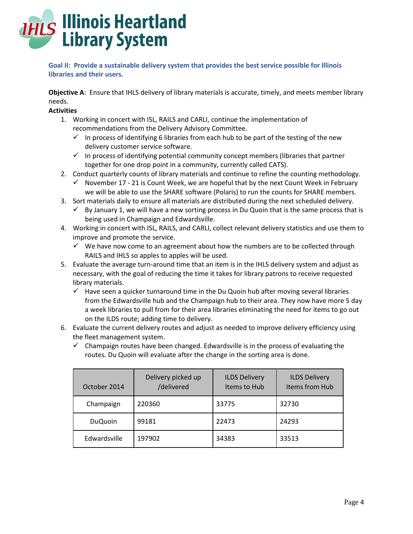

**Goal II: Provide a sustainable delivery system that provides the best service possible for Illinois libraries and their users.**

**Objective A**: Ensure that IHLS delivery of library materials is accurate, timely, and meets member library needs.

#### **Activities**

- 1. Working in concert with ISL, RAILS and CARLI, continue the implementation of recommendations from the Delivery Advisory Committee.
	- In process of identifying 6 libraries from each hub to be part of the testing of the new delivery customer service software.
	- $\checkmark$  In process of identifying potential community concept members (libraries that partner together for one drop point in a community, currently called CATS).
- 2. Conduct quarterly counts of library materials and continue to refine the counting methodology.
	- $\checkmark$  November 17 21 is Count Week, we are hopeful that by the next Count Week in February we will be able to use the SHARE software (Polaris) to run the counts for SHARE members.
- 3. Sort materials daily to ensure all materials are distributed during the next scheduled delivery.
	- $\checkmark$  By January 1, we will have a new sorting process in Du Quoin that is the same process that is being used in Champaign and Edwardsville.
- 4. Working in concert with ISL, RAILS, and CARLI, collect relevant delivery statistics and use them to improve and promote the service.
	- $\checkmark$  We have now come to an agreement about how the numbers are to be collected through RAILS and IHLS so apples to apples will be used.
- 5. Evaluate the average turn-around time that an item is in the IHLS delivery system and adjust as necessary, with the goal of reducing the time it takes for library patrons to receive requested library materials.
	- $\checkmark$  Have seen a quicker turnaround time in the Du Quoin hub after moving several libraries from the Edwardsville hub and the Champaign hub to their area. They now have more 5 day a week libraries to pull from for their area libraries eliminating the need for items to go out on the ILDS route; adding time to delivery.
- 6. Evaluate the current delivery routes and adjust as needed to improve delivery efficiency using the fleet management system.
	- $\checkmark$  Champaign routes have been changed. Edwardsville is in the process of evaluating the routes. Du Quoin will evaluate after the change in the sorting area is done.

| October 2014   | Delivery picked up<br>/delivered | <b>ILDS Delivery</b><br>Items to Hub | <b>ILDS Delivery</b><br><b>Items from Hub</b> |
|----------------|----------------------------------|--------------------------------------|-----------------------------------------------|
| Champaign      | 220360                           | 33775                                | 32730                                         |
| <b>DuQuoin</b> | 99181                            | 22473                                | 24293                                         |
| Edwardsville   | 197902                           | 34383                                | 33513                                         |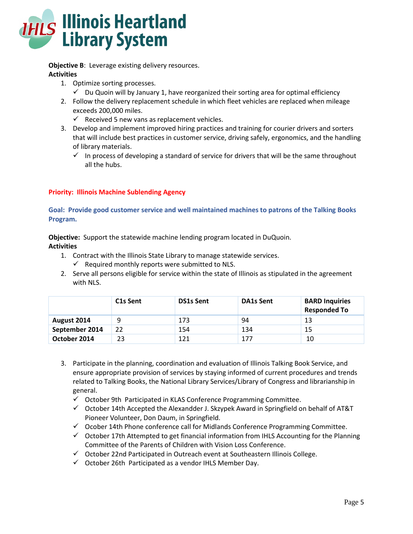

**Objective B:** Leverage existing delivery resources. **Activities**

- 1. Optimize sorting processes.
	- $\checkmark$  Du Quoin will by January 1, have reorganized their sorting area for optimal efficiency
- 2. Follow the delivery replacement schedule in which fleet vehicles are replaced when mileage exceeds 200,000 miles.
	- $\checkmark$  Received 5 new vans as replacement vehicles.
- 3. Develop and implement improved hiring practices and training for courier drivers and sorters that will include best practices in customer service, driving safely, ergonomics, and the handling of library materials.
	- $\checkmark$  In process of developing a standard of service for drivers that will be the same throughout all the hubs.

## **Priority: Illinois Machine Sublending Agency**

**Goal: Provide good customer service and well maintained machines to patrons of the Talking Books Program.**

**Objective:** Support the statewide machine lending program located in DuQuoin. **Activities**

- 1. Contract with the Illinois State Library to manage statewide services.
	- $\checkmark$  Required monthly reports were submitted to NLS.
- 2. Serve all persons eligible for service within the state of Illinois as stipulated in the agreement with NLS.

|                | C <sub>1</sub> s Sent | <b>DS1s Sent</b> | <b>DA1s Sent</b> | <b>BARD Inquiries</b><br><b>Responded To</b> |
|----------------|-----------------------|------------------|------------------|----------------------------------------------|
| August 2014    | 9                     | 173              | 94               | 13                                           |
| September 2014 | 22                    | 154              | 134              | 15                                           |
| October 2014   | 23                    | 121              | 177              | 10                                           |

- 3. Participate in the planning, coordination and evaluation of Illinois Talking Book Service, and ensure appropriate provision of services by staying informed of current procedures and trends related to Talking Books, the National Library Services/Library of Congress and librarianship in general.
	- $\checkmark$  October 9th Participated in KLAS Conference Programming Committee.
	- $\checkmark$  October 14th Accepted the Alexandder J. Skzypek Award in Springfield on behalf of AT&T Pioneer Volunteer, Don Daum, in Springfield.
	- $\checkmark$  Ocober 14th Phone conference call for Midlands Conference Programming Committee.
	- $\checkmark$  October 17th Attempted to get financial information from IHLS Accounting for the Planning Committee of the Parents of Children with Vision Loss Conference.
	- October 22nd Participated in Outreach event at Southeastern Illinois College.
	- $\checkmark$  October 26th Participated as a vendor IHLS Member Day.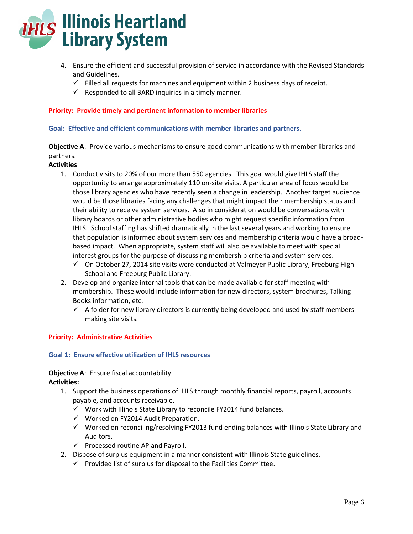

- 4. Ensure the efficient and successful provision of service in accordance with the Revised Standards and Guidelines.
	- $\checkmark$  Filled all requests for machines and equipment within 2 business days of receipt.
	- $\checkmark$  Responded to all BARD inquiries in a timely manner.

**Priority: Provide timely and pertinent information to member libraries**

**Goal: Effective and efficient communications with member libraries and partners.**

**Objective A**: Provide various mechanisms to ensure good communications with member libraries and partners.

## **Activities**

- 1. Conduct visits to 20% of our more than 550 agencies. This goal would give IHLS staff the opportunity to arrange approximately 110 on-site visits. A particular area of focus would be those library agencies who have recently seen a change in leadership. Another target audience would be those libraries facing any challenges that might impact their membership status and their ability to receive system services. Also in consideration would be conversations with library boards or other administrative bodies who might request specific information from IHLS. School staffing has shifted dramatically in the last several years and working to ensure that population is informed about system services and membership criteria would have a broadbased impact. When appropriate, system staff will also be available to meet with special interest groups for the purpose of discussing membership criteria and system services.
	- $\checkmark$  On October 27, 2014 site visits were conducted at Valmeyer Public Library, Freeburg High School and Freeburg Public Library.
- 2. Develop and organize internal tools that can be made available for staff meeting with membership. These would include information for new directors, system brochures, Talking Books information, etc.
	- $\checkmark$  A folder for new library directors is currently being developed and used by staff members making site visits.

## **Priority: Administrative Activities**

#### **Goal 1: Ensure effective utilization of IHLS resources**

# **Objective A:** Ensure fiscal accountability

**Activities:**

- 1. Support the business operations of IHLS through monthly financial reports, payroll, accounts payable, and accounts receivable.
	- $\checkmark$  Work with Illinois State Library to reconcile FY2014 fund balances.
	- $\checkmark$  Worked on FY2014 Audit Preparation.
	- $\checkmark$  Worked on reconciling/resolving FY2013 fund ending balances with Illinois State Library and Auditors.
	- $\checkmark$  Processed routine AP and Payroll.
- 2. Dispose of surplus equipment in a manner consistent with Illinois State guidelines.
	- $\checkmark$  Provided list of surplus for disposal to the Facilities Committee.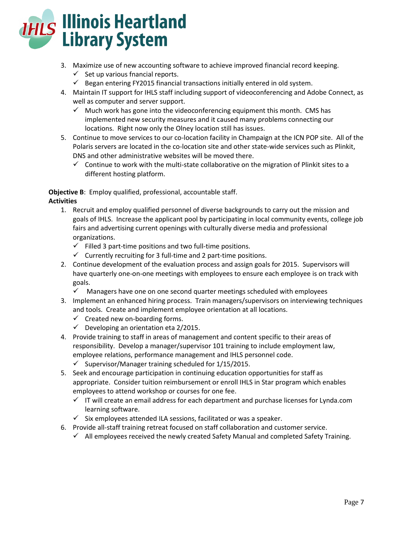

- 3. Maximize use of new accounting software to achieve improved financial record keeping.
	- $\checkmark$  Set up various fnancial reports.
	- $\checkmark$  Began entering FY2015 financial transactions initially entered in old system.
- 4. Maintain IT support for IHLS staff including support of videoconferencing and Adobe Connect, as well as computer and server support.
	- $\checkmark$  Much work has gone into the videoconferencing equipment this month. CMS has implemented new security measures and it caused many problems connecting our locations. Right now only the Olney location still has issues.
- 5. Continue to move services to our co-location facility in Champaign at the ICN POP site. All of the Polaris servers are located in the co-location site and other state-wide services such as Plinkit, DNS and other administrative websites will be moved there.
	- $\checkmark$  Continue to work with the multi-state collaborative on the migration of Plinkit sites to a different hosting platform.

**Objective B**: Employ qualified, professional, accountable staff. **Activities**

- 1. Recruit and employ qualified personnel of diverse backgrounds to carry out the mission and goals of IHLS. Increase the applicant pool by participating in local community events, college job fairs and advertising current openings with culturally diverse media and professional organizations.
	- $\checkmark$  Filled 3 part-time positions and two full-time positions.
	- $\checkmark$  Currently recruiting for 3 full-time and 2 part-time positions.
- 2. Continue development of the evaluation process and assign goals for 2015. Supervisors will have quarterly one-on-one meetings with employees to ensure each employee is on track with goals.
	- $\checkmark$  Managers have one on one second quarter meetings scheduled with employees
- 3. Implement an enhanced hiring process. Train managers/supervisors on interviewing techniques and tools. Create and implement employee orientation at all locations.
	- $\checkmark$  Created new on-boarding forms.
	- $\checkmark$  Developing an orientation eta 2/2015.
- 4. Provide training to staff in areas of management and content specific to their areas of responsibility. Develop a manager/supervisor 101 training to include employment law, employee relations, performance management and IHLS personnel code.
	- $\checkmark$  Supervisor/Manager training scheduled for 1/15/2015.
- 5. Seek and encourage participation in continuing education opportunities for staff as appropriate. Consider tuition reimbursement or enroll IHLS in Star program which enables employees to attend workshop or courses for one fee.
	- $\checkmark$  IT will create an email address for each department and purchase licenses for Lynda.com learning software.
	- $\checkmark$  Six employees attended ILA sessions, facilitated or was a speaker.
- 6. Provide all-staff training retreat focused on staff collaboration and customer service.
	- $\checkmark$  All employees received the newly created Safety Manual and completed Safety Training.